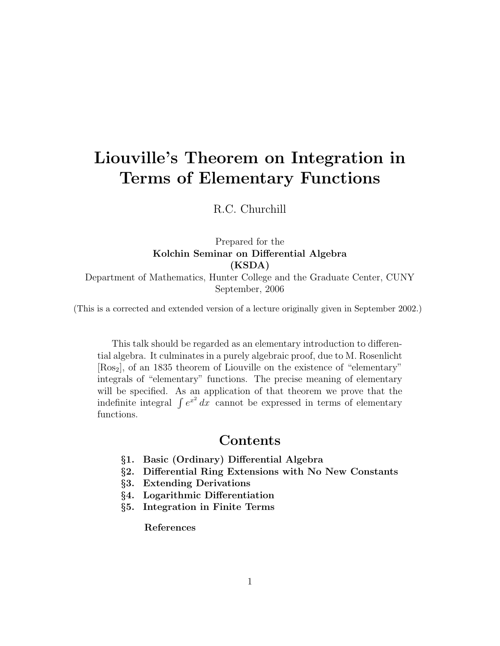# Liouville's Theorem on Integration in Terms of Elementary Functions

R.C. Churchill

Prepared for the Kolchin Seminar on Differential Algebra (KSDA) Department of Mathematics, Hunter College and the Graduate Center, CUNY September, 2006

(This is a corrected and extended version of a lecture originally given in September 2002.)

This talk should be regarded as an elementary introduction to differential algebra. It culminates in a purely algebraic proof, due to M. Rosenlicht [Ros2], of an 1835 theorem of Liouville on the existence of "elementary" integrals of "elementary" functions. The precise meaning of elementary will be specified. As an application of that theorem we prove that the will be specified. As an application of that theorem we prove that the indefinite integral  $\int e^{x^2} dx$  cannot be expressed in terms of elementary functions.

### Contents

- §1. Basic (Ordinary) Differential Algebra
- §2. Differential Ring Extensions with No New Constants
- §3. Extending Derivations
- §4. Logarithmic Differentiation
- §5. Integration in Finite Terms

References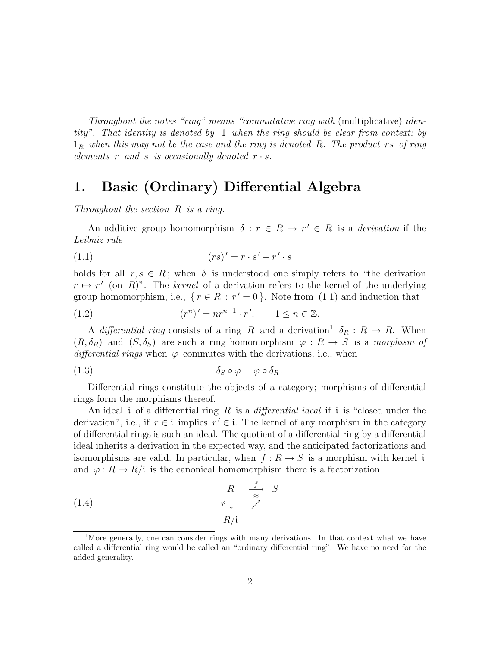Throughout the notes "ring" means "commutative ring with (multiplicative) identity". That identity is denoted by 1 when the ring should be clear from context; by  $1_R$  when this may not be the case and the ring is denoted R. The product rs of ring elements r and s is occasionally denoted  $r \cdot s$ .

## 1. Basic (Ordinary) Differential Algebra

Throughout the section R is a ring.

An additive group homomorphism  $\delta : r \in R \mapsto r' \in R$  is a *derivation* if the Leibniz rule

$$
(1.1)\qquad \qquad (rs)' = r \cdot s' + r' \cdot s
$$

holds for all  $r, s \in R$ ; when  $\delta$  is understood one simply refers to "the derivation"  $r \mapsto r'$  (on R)". The kernel of a derivation refers to the kernel of the underlying group homomorphism, i.e.,  $\{r \in R : r' = 0\}$ . Note from (1.1) and induction that

$$
(1.2) \qquad (r^n)' = nr^{n-1} \cdot r', \qquad 1 \le n \in \mathbb{Z}.
$$

A differential ring consists of a ring R and a derivation<sup>1</sup>  $\delta_R : R \to R$ . When  $(R, \delta_R)$  and  $(S, \delta_S)$  are such a ring homomorphism  $\varphi : R \to S$  is a morphism of differential rings when  $\varphi$  commutes with the derivations, i.e., when

$$
\delta_S \circ \varphi = \varphi \circ \delta_R.
$$

Differential rings constitute the objects of a category; morphisms of differential rings form the morphisms thereof.

An ideal i of a differential ring R is a *differential ideal* if i is "closed under the derivation", i.e., if  $r \in \mathfrak{i}$  implies  $r' \in \mathfrak{i}$ . The kernel of any morphism in the category of differential rings is such an ideal. The quotient of a differential ring by a differential ideal inherits a derivation in the expected way, and the anticipated factorizations and isomorphisms are valid. In particular, when  $f: R \to S$  is a morphism with kernel i and  $\varphi: R \to R/\mathfrak{i}$  is the canonical homomorphism there is a factorization

(1.4) 
$$
\begin{array}{ccc}\n & R & \xrightarrow{f} & S \\
\varphi \downarrow & \nearrow & \\
R/i\n\end{array}
$$

<sup>&</sup>lt;sup>1</sup>More generally, one can consider rings with many derivations. In that context what we have called a differential ring would be called an "ordinary differential ring". We have no need for the added generality.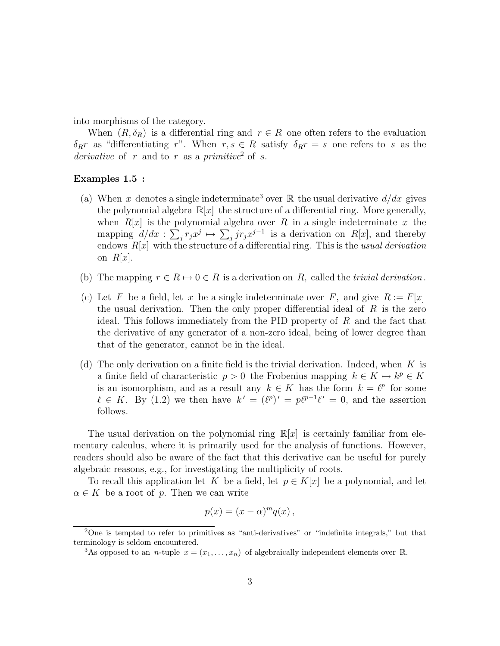into morphisms of the category.

When  $(R, \delta_R)$  is a differential ring and  $r \in R$  one often refers to the evaluation  $\delta_R r$  as "differentiating r". When  $r, s \in R$  satisfy  $\delta_R r = s$  one refers to s as the derivative of r and to r as a primitive<sup>2</sup> of s.

#### Examples 1.5 :

- (a) When x denotes a single indeterminate<sup>3</sup> over  $\mathbb R$  the usual derivative  $d/dx$  gives the polynomial algebra  $\mathbb{R}[x]$  the structure of a differential ring. More generally, when  $R[x]$  is the polynomial algebra over R in a single indeterminate x the mapping  $d/dx$ :  $\sum_j r_j x^j \mapsto \sum_j j r_j x^{j-1}$  is a derivation on  $R[x]$ , and thereby endows  $R[x]$  with the structure of a differential ring. This is the usual derivation on  $R|x|$ .
- (b) The mapping  $r \in R \mapsto 0 \in R$  is a derivation on R, called the trivial derivation.
- (c) Let F be a field, let x be a single indeterminate over F, and give  $R := F[x]$ the usual derivation. Then the only proper differential ideal of  $R$  is the zero ideal. This follows immediately from the PID property of  $R$  and the fact that the derivative of any generator of a non-zero ideal, being of lower degree than that of the generator, cannot be in the ideal.
- (d) The only derivation on a finite field is the trivial derivation. Indeed, when  $K$  is a finite field of characteristic  $p > 0$  the Frobenius mapping  $k \in K \mapsto k^p \in K$ is an isomorphism, and as a result any  $k \in K$  has the form  $k = \ell^p$  for some  $\ell \in K$ . By (1.2) we then have  $k' = (\ell^p)' = p\ell^{p-1}\ell' = 0$ , and the assertion follows.

The usual derivation on the polynomial ring  $\mathbb{R}[x]$  is certainly familiar from elementary calculus, where it is primarily used for the analysis of functions. However, readers should also be aware of the fact that this derivative can be useful for purely algebraic reasons, e.g., for investigating the multiplicity of roots.

To recall this application let K be a field, let  $p \in K[x]$  be a polynomial, and let  $\alpha \in K$  be a root of p. Then we can write

$$
p(x) = (x - \alpha)^m q(x) ,
$$

<sup>2</sup>One is tempted to refer to primitives as "anti-derivatives" or "indefinite integrals," but that terminology is seldom encountered.

<sup>&</sup>lt;sup>3</sup>As opposed to an *n*-tuple  $x = (x_1, \ldots, x_n)$  of algebraically independent elements over R.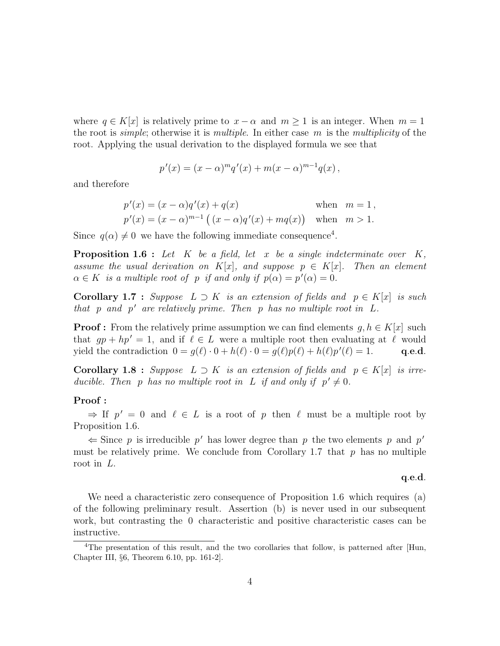where  $q \in K[x]$  is relatively prime to  $x - \alpha$  and  $m \ge 1$  is an integer. When  $m = 1$ the root is *simple*; otherwise it is *multiple*. In either case m is the *multiplicity* of the root. Applying the usual derivation to the displayed formula we see that

$$
p'(x) = (x - \alpha)^m q'(x) + m(x - \alpha)^{m-1} q(x),
$$

and therefore

$$
p'(x) = (x - \alpha)q'(x) + q(x)
$$
 when  $m = 1$ ,  
\n $p'(x) = (x - \alpha)^{m-1} ((x - \alpha)q'(x) + mq(x))$  when  $m > 1$ .

Since  $q(\alpha) \neq 0$  we have the following immediate consequence<sup>4</sup>.

**Proposition 1.6** : Let K be a field, let x be a single indeterminate over  $K$ , assume the usual derivation on  $K[x]$ , and suppose  $p \in K[x]$ . Then an element  $\alpha \in K$  is a multiple root of p if and only if  $p(\alpha) = p'(\alpha) = 0$ .

**Corollary 1.7 :** Suppose  $L \supset K$  is an extension of fields and  $p \in K[x]$  is such that  $p$  and  $p'$  are relatively prime. Then  $p$  has no multiple root in  $L$ .

**Proof :** From the relatively prime assumption we can find elements  $q, h \in K[x]$  such that  $gp + hp' = 1$ , and if  $\ell \in L$  were a multiple root then evaluating at  $\ell$  would yield the contradiction  $0 = g(\ell) \cdot 0 + h(\ell) \cdot 0 = g(\ell)p(\ell) + h(\ell)p'(\ell) = 1.$  q.e.d.

**Corollary 1.8** : Suppose  $L \supset K$  is an extension of fields and  $p \in K[x]$  is irreducible. Then p has no multiple root in L if and only if  $p' \neq 0$ .

#### Proof :

 $\Rightarrow$  If  $p' = 0$  and  $\ell \in L$  is a root of p then  $\ell$  must be a multiple root by Proposition 1.6.

 $\Leftarrow$  Since p is irreducible p' has lower degree than p the two elements p and p' must be relatively prime. We conclude from Corollary 1.7 that  $p$  has no multiple root in L.

#### q.e.d.

We need a characteristic zero consequence of Proposition 1.6 which requires (a) of the following preliminary result. Assertion (b) is never used in our subsequent work, but contrasting the 0 characteristic and positive characteristic cases can be instructive.

<sup>&</sup>lt;sup>4</sup>The presentation of this result, and the two corollaries that follow, is patterned after [Hun, Chapter III, §6, Theorem 6.10, pp. 161-2].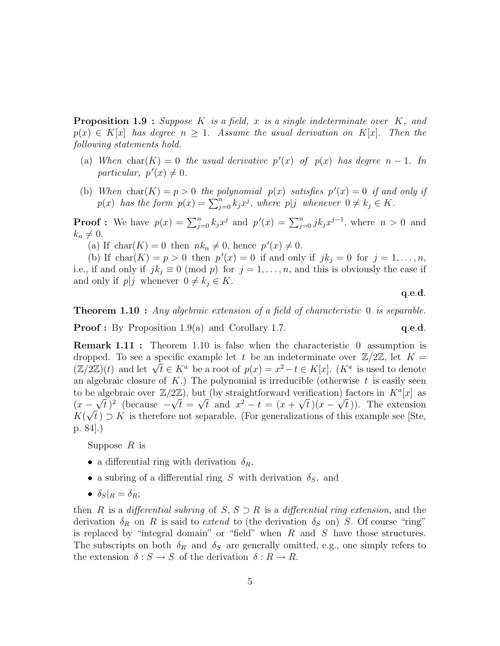**Proposition 1.9** : Suppose K is a field, x is a single indeterminate over K, and  $p(x) \in K[x]$  has degree  $n \geq 1$ . Assume the usual derivation on  $K[x]$ . Then the following statements hold.

- (a) When char(K) = 0 the usual derivative  $p'(x)$  of  $p(x)$  has degree  $n-1$ . In particular,  $p'(x) \neq 0$ .
- (b) When  $char(K) = p > 0$  the polynomial  $p(x)$  satisfies  $p'(x) = 0$  if and only if when char( $\Lambda$ ) = p > 0 the potynomial  $p(x)$  satisfies  $p(x) = 0$  if and  $p(x)$  has the form  $p(x) = \sum_{j=0}^{n} k_j x^j$ , where  $p|j$  whenever  $0 \neq k_j \in K$ .

**Proof :** We have  $p(x) = \sum_{j=0}^{n} k_j x^j$  and  $p'(x) = \sum_{j=0}^{n} j k_j x^{j-1}$ , where  $n > 0$  and  $k_n \neq 0.$ 

(a) If char(K) = 0 then  $nk_n \neq 0$ , hence  $p'(x) \neq 0$ .

(b) If char(K) = p > 0 then  $p'(x) = 0$  if and only if  $jk_j = 0$  for  $j = 1, ..., n$ , i.e., if and only if  $jk_j \equiv 0 \pmod{p}$  for  $j = 1, ..., n$ , and this is obviously the case if and only if  $p|j$  whenever  $0 \neq k_j \in K$ .

q.e.d.

**Theorem 1.10** : Any algebraic extension of a field of characteristic 0 is separable. **Proof :** By Proposition 1.9(a) and Corollary 1.7.  $q.e.d.$ 

**Remark 1.11 :** Theorem 1.10 is false when the characteristic 0 assumption is dropped. To see a specific example let t be an indeterminate over  $\mathbb{Z}/2\mathbb{Z}$ , let  $K =$ dropped. To see a specific example let t be an indeterminate over  $\mathbb{Z}/2\mathbb{Z}$ , let  $K = (\mathbb{Z}/2\mathbb{Z})(t)$  and let  $\sqrt{t} \in K^a$  be a root of  $p(x) = x^2 - t \in K[x]$ .  $(K^a)$  is used to denote an algebraic closure of  $K$ .) The polynomial is irreducible (otherwise  $t$  is easily seen to be algebraic over  $\mathbb{Z}/2\mathbb{Z}$ ), but (by straightforward verification) factors in  $K^a[x]$  as  $(x - \sqrt{t})^2$  (because  $-\sqrt{t} = \sqrt{t}$  and  $x^2 - t = (x + \sqrt{t})(x - \sqrt{t})$ ). The extension  $K(\sqrt{t}) \supset K$  is therefore not separable. (For generalizations of this example see [Ste, p. 84].)

Suppose  $R$  is

- a differential ring with derivation  $\delta_R$ ,
- a subring of a differential ring S with derivation  $\delta_S$ , and
- $\delta_S|_R = \delta_R;$

then R is a differential subring of S,  $S \supset R$  is a differential ring extension, and the derivation  $\delta_R$  on R is said to extend to (the derivation  $\delta_S$  on) S. Of course "ring" is replaced by "integral domain" or "field" when  $R$  and  $S$  have those structures. The subscripts on both  $\delta_R$  and  $\delta_S$  are generally omitted, e.g., one simply refers to the extension  $\delta: S \to S$  of the derivation  $\delta: R \to R$ .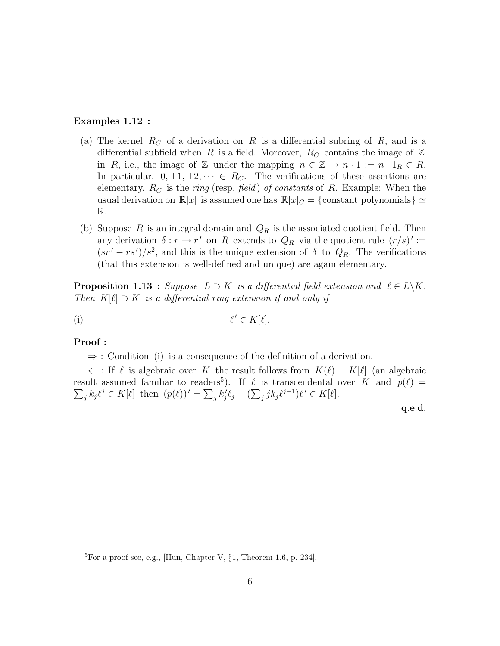#### Examples 1.12 :

- (a) The kernel  $R_C$  of a derivation on R is a differential subring of R, and is a differential subfield when R is a field. Moreover,  $R_C$  contains the image of Z in R, i.e., the image of Z under the mapping  $n \in \mathbb{Z} \mapsto n \cdot 1 := n \cdot 1_R \in R$ . In particular,  $0, \pm 1, \pm 2, \cdots \in R_C$ . The verifications of these assertions are elementary.  $R_C$  is the *ring* (resp. *field*) of constants of R. Example: When the usual derivation on  $\mathbb{R}[x]$  is assumed one has  $\mathbb{R}[x]_C = \{\text{constant polynomials}\}\simeq$ R.
- (b) Suppose R is an integral domain and  $Q_R$  is the associated quotient field. Then any derivation  $\delta : r \to r'$  on R extends to  $Q_R$  via the quotient rule  $(r/s)' :=$  $(sr' - rs')/s^2$ , and this is the unique extension of  $\delta$  to  $Q_R$ . The verifications (that this extension is well-defined and unique) are again elementary.

**Proposition 1.13** : Suppose  $L \supset K$  is a differential field extension and  $\ell \in L\backslash K$ . Then  $K[\ell] \supset K$  is a differential ring extension if and only if

$$
\ell' \in K[\ell].
$$

#### Proof :

⇒ : Condition (i) is a consequence of the definition of a derivation.

 $\Leftarrow$ : If  $\ell$  is algebraic over K the result follows from  $K(\ell) = K[\ell]$  (an algebraic result assumed familiar to readers<sup>5</sup> P ). If ` is transcendental over K and p(`) = P  $j$   $k_j \ell^j \in K[\ell]$  then  $(p(\ell))' = \sum_j k'_j \ell_j + (\sum_j j k_j \ell^{j-1}) \ell' \in K[\ell].$ 

q.e.d.

 ${}^{5}$ For a proof see, e.g., [Hun, Chapter V,  $\S1$ , Theorem 1.6, p. 234].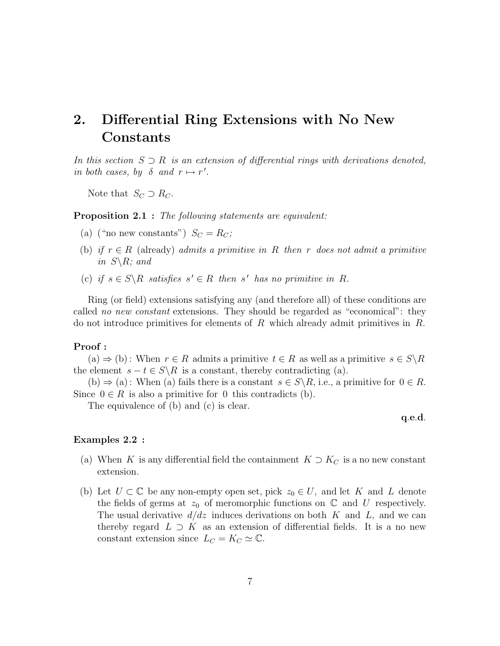## 2. Differential Ring Extensions with No New Constants

In this section  $S \supset R$  is an extension of differential rings with derivations denoted, in both cases, by  $\delta$  and  $r \mapsto r'$ .

Note that  $S_C \supset R_C$ .

**Proposition 2.1** : The following statements are equivalent:

- (a) ("no new constants")  $S_C = R_C$ ;
- (b) if  $r \in R$  (already) admits a primitive in R then r does not admit a primitive in  $S \backslash R$ ; and
- (c) if  $s \in S \backslash R$  satisfies  $s' \in R$  then s' has no primitive in R.

Ring (or field) extensions satisfying any (and therefore all) of these conditions are called no new constant extensions. They should be regarded as "economical": they do not introduce primitives for elements of  $R$  which already admit primitives in  $R$ .

#### Proof :

 $(a) \Rightarrow (b)$ : When  $r \in R$  admits a primitive  $t \in R$  as well as a primitive  $s \in S \backslash R$ the element  $s - t \in S \backslash R$  is a constant, thereby contradicting (a).

(b)  $\Rightarrow$  (a): When (a) fails there is a constant  $s \in S \backslash R$ , i.e., a primitive for  $0 \in R$ . Since  $0 \in R$  is also a primitive for 0 this contradicts (b).

The equivalence of (b) and (c) is clear.

q.e.d.

#### Examples 2.2 :

- (a) When K is any differential field the containment  $K \supset K_C$  is a no new constant extension.
- (b) Let  $U \subset \mathbb{C}$  be any non-empty open set, pick  $z_0 \in U$ , and let K and L denote the fields of germs at  $z_0$  of meromorphic functions on  $\mathbb C$  and  $U$  respectively. The usual derivative  $d/dz$  induces derivations on both K and L, and we can thereby regard  $L \supset K$  as an extension of differential fields. It is a no new constant extension since  $L_C = K_C \simeq \mathbb{C}$ .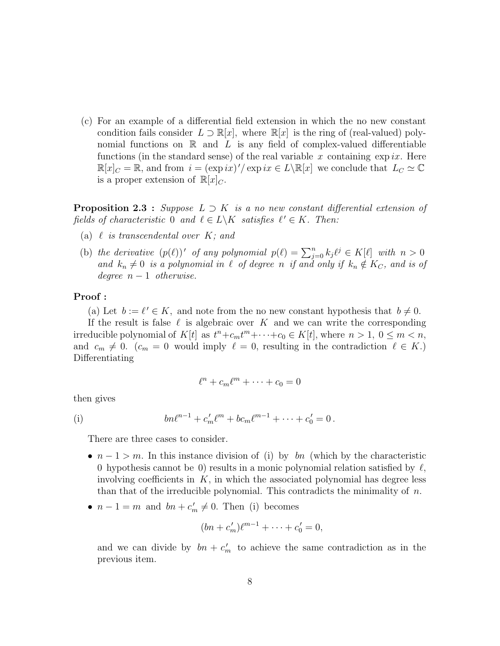(c) For an example of a differential field extension in which the no new constant condition fails consider  $L \supset \mathbb{R}[x]$ , where  $\mathbb{R}[x]$  is the ring of (real-valued) polynomial functions on  $\mathbb R$  and  $L$  is any field of complex-valued differentiable functions (in the standard sense) of the real variable x containing  $\exp ix$ . Here  $\mathbb{R}[x]_C = \mathbb{R}$ , and from  $i = (\exp ix)' / \exp ix \in L \setminus \mathbb{R}[x]$  we conclude that  $L_C \simeq \mathbb{C}$ is a proper extension of  $\mathbb{R}[x]_C$ .

**Proposition 2.3** : Suppose  $L \supset K$  is a no new constant differential extension of fields of characteristic 0 and  $\ell \in L \backslash K$  satisfies  $\ell' \in K$ . Then:

- (a)  $\ell$  is transcendental over  $K$ ; and
- (b) the derivative  $(p(\ell))'$  of any polynomial  $p(\ell) = \sum_{j=0}^{n} k_j \ell^j \in K[\ell]$  with  $n > 0$ and  $k_n \neq 0$  is a polynomial in  $\ell$  of degree n if and only if  $k_n \notin K_C$ , and is of degree  $n-1$  otherwise.

#### Proof :

(a) Let  $b := \ell' \in K$ , and note from the no new constant hypothesis that  $b \neq 0$ .

If the result is false  $\ell$  is algebraic over K and we can write the corresponding irreducible polynomial of  $K[t]$  as  $t^n + c_m t^m + \cdots + c_0 \in K[t]$ , where  $n > 1, 0 \leq m < n$ , and  $c_m \neq 0$ .  $(c_m = 0$  would imply  $\ell = 0$ , resulting in the contradiction  $\ell \in K$ .) Differentiating

$$
\ell^n + c_m \ell^m + \dots + c_0 = 0
$$

then gives

(i) 
$$
bn\ell^{n-1} + c'_m\ell^m + bc_m\ell^{m-1} + \cdots + c'_0 = 0.
$$

There are three cases to consider.

- $n-1 > m$ . In this instance division of (i) by bn (which by the characteristic 0 hypothesis cannot be 0) results in a monic polynomial relation satisfied by  $\ell$ , involving coefficients in  $K$ , in which the associated polynomial has degree less than that of the irreducible polynomial. This contradicts the minimality of  $n$ .
- $n-1=m$  and  $bn+c'_m\neq 0$ . Then (i) becomes

$$
(bn + c'_m)\ell^{m-1} + \cdots + c'_0 = 0,
$$

and we can divide by  $bn + c'_m$  to achieve the same contradiction as in the previous item.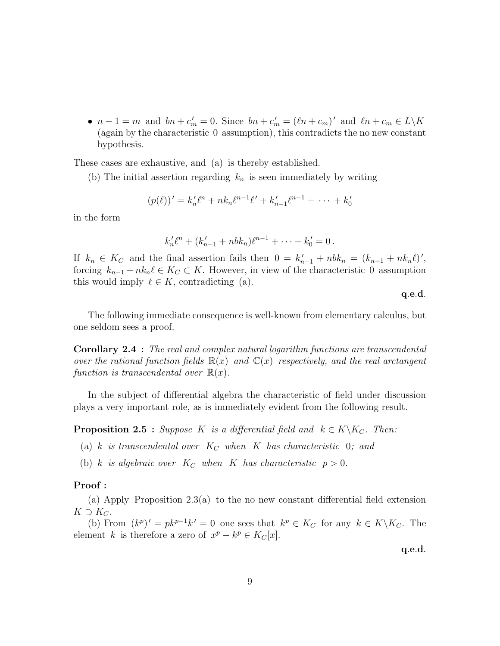•  $n-1 = m$  and  $bn + c'_m = 0$ . Since  $bn + c'_m = (\ell n + c_m)'$  and  $\ell n + c_m \in L\backslash K$ (again by the characteristic 0 assumption), this contradicts the no new constant hypothesis.

These cases are exhaustive, and (a) is thereby established.

(b) The initial assertion regarding  $k_n$  is seen immediately by writing

$$
(p(\ell))' = k'_n \ell^n + nk_n \ell^{n-1} \ell' + k'_{n-1} \ell^{n-1} + \dots + k'_0
$$

in the form

$$
k'_n \ell^n + (k'_{n-1} + nbk_n)\ell^{n-1} + \cdots + k'_0 = 0.
$$

If  $k_n \in K_C$  and the final assertion fails then  $0 = k'_{n-1} + nbk_n = (k_{n-1} + nk_n\ell)'$ , forcing  $k_{n-1} + nk_n \ell \in K_C \subset K$ . However, in view of the characteristic 0 assumption this would imply  $\ell \in K$ , contradicting (a).

q.e.d.

The following immediate consequence is well-known from elementary calculus, but one seldom sees a proof.

Corollary 2.4 : The real and complex natural logarithm functions are transcendental over the rational function fields  $\mathbb{R}(x)$  and  $\mathbb{C}(x)$  respectively, and the real arctangent function is transcendental over  $\mathbb{R}(x)$ .

In the subject of differential algebra the characteristic of field under discussion plays a very important role, as is immediately evident from the following result.

**Proposition 2.5** : Suppose K is a differential field and  $k \in K \backslash K_C$ . Then:

(a) k is transcendental over  $K_C$  when K has characteristic 0; and

(b) k is algebraic over  $K_C$  when K has characteristic  $p > 0$ .

#### Proof :

(a) Apply Proposition 2.3(a) to the no new constant differential field extension  $K \supset K_C$ .

(b) From  $(k^p)' = pk^{p-1}k' = 0$  one sees that  $k^p \in K_C$  for any  $k \in K \backslash K_C$ . The element k is therefore a zero of  $x^p - k^p \in K_C[x]$ .

q.e.d.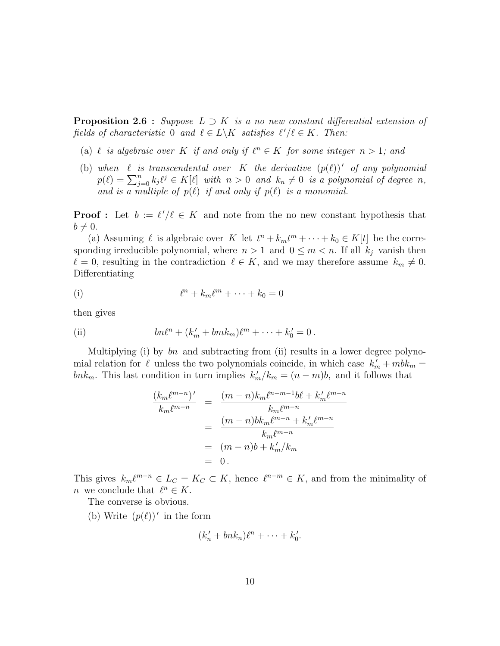**Proposition 2.6** : Suppose  $L \supset K$  is a no new constant differential extension of fields of characteristic 0 and  $\ell \in L \backslash K$  satisfies  $\ell'/\ell \in K$ . Then:

- (a)  $\ell$  is algebraic over K if and only if  $\ell^n \in K$  for some integer  $n > 1$ ; and
- (b) when  $\ell$  is transcendental over K the derivative  $(p(\ell))'$  of any polynomial when  $\ell$  is transcendental over  $K$  the derivative  $(p(\ell))$  of any potynomial  $p(\ell) = \sum_{j=0}^{n} k_j \ell^j \in K[\ell]$  with  $n > 0$  and  $k_n \neq 0$  is a polynomial of degree n, and is a multiple of  $p(\ell)$  if and only if  $p(\ell)$  is a monomial.

**Proof**: Let  $b := \ell'/\ell \in K$  and note from the no new constant hypothesis that  $b \neq 0$ .

(a) Assuming  $\ell$  is algebraic over K let  $t^n + k_m t^m + \cdots + k_0 \in K[t]$  be the corresponding irreducible polynomial, where  $n > 1$  and  $0 \leq m < n$ . If all  $k_j$  vanish then  $\ell = 0$ , resulting in the contradiction  $\ell \in K$ , and we may therefore assume  $k_m \neq 0$ . Differentiating

$$
\ell^n + k_m \ell^m + \dots + k_0 = 0
$$

then gives

(ii) 
$$
bn\ell^{n} + (k'_{m} + bmk_{m})\ell^{m} + \cdots + k'_{0} = 0.
$$

Multiplying (i) by  $bn$  and subtracting from (ii) results in a lower degree polynomial relation for  $\ell$  unless the two polynomials coincide, in which case  $k'_m + mbk_m =$ bnk<sub>m</sub>. This last condition in turn implies  $k'_m/k_m = (n-m)b$ , and it follows that

$$
\frac{(k_m \ell^{m-n})'}{k_m \ell^{m-n}} = \frac{(m-n)k_m \ell^{n-m-1} b \ell + k'_m \ell^{m-n}}{k_m \ell^{m-n}}
$$

$$
= \frac{(m-n)bk_m \ell^{m-n} + k'_m \ell^{m-n}}{k_m \ell^{m-n}}
$$

$$
= (m-n)b + k'_m / k_m
$$

$$
= 0.
$$

This gives  $k_m\ell^{m-n} \in L_C = K_C \subset K$ , hence  $\ell^{n-m} \in K$ , and from the minimality of *n* we conclude that  $\ell^n \in K$ .

The converse is obvious.

(b) Write  $(p(\ell))'$  in the form

$$
(k'_n + bn k_n)\ell^n + \cdots + k'_0.
$$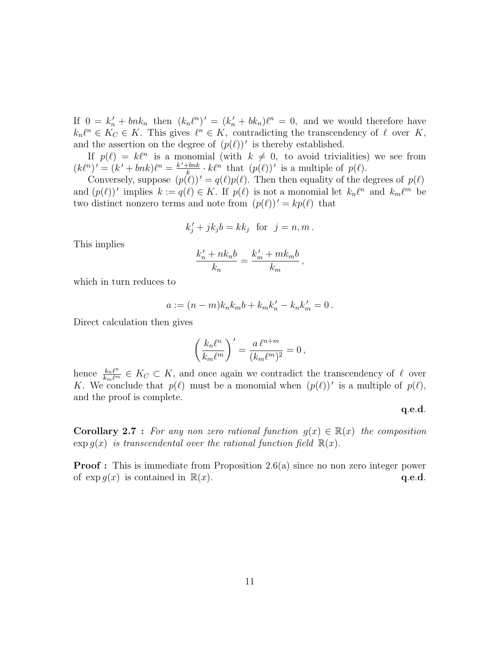If  $0 = k'_n + b_n$  then  $(k_n \ell^n)' = (k'_n + b k_n) \ell^n = 0$ , and we would therefore have  $k_n\ell^n \in K_C \in K$ . This gives  $\ell^n \in K$ , contradicting the transcendency of  $\ell$  over K, and the assertion on the degree of  $(p(\ell))'$  is thereby established.

If  $p(\ell) = k\ell^n$  is a monomial (with  $k \neq 0$ , to avoid trivialities) we see from  $(k\ell^n)' = (k' + bnk)\ell^n = \frac{k' + bnk}{k}$  $\frac{t-bnk}{k} \cdot k\ell^n$  that  $(p(\ell))'$  is a multiple of  $p(\ell)$ .

Conversely, suppose  $(p(\ell))' = q(\ell)p(\ell)$ . Then then equality of the degrees of  $p(\ell)$ and  $(p(\ell))'$  implies  $k := q(\ell) \in K$ . If  $p(\ell)$  is not a monomial let  $k_n\ell^n$  and  $k_m\ell^m$  be two distinct nonzero terms and note from  $(p(\ell))' = kp(\ell)$  that

$$
k'_j + jk_j b = kk_j \text{ for } j = n, m.
$$

This implies

$$
\frac{k'_n + nk_nb}{k_n} = \frac{k'_m + mk_mb}{k_m},
$$

which in turn reduces to

$$
a := (n - m)k_n k_m b + k_m k'_n - k_n k'_m = 0.
$$

Direct calculation then gives

$$
\left(\frac{k_n\ell^n}{k_m\ell^m}\right)' = \frac{a\,\ell^{n+m}}{(k_m\ell^m)^2} = 0\,,
$$

hence  $\frac{k_n\ell^n}{k_m\ell^m} \in K_C \subset K$ , and once again we contradict the transcendency of  $\ell$  over K. We conclude that  $p(\ell)$  must be a monomial when  $(p(\ell))'$  is a multiple of  $p(\ell)$ , and the proof is complete.

#### q.e.d.

**Corollary 2.7** : For any non zero rational function  $q(x) \in \mathbb{R}(x)$  the composition  $\exp g(x)$  is transcendental over the rational function field  $\mathbb{R}(x)$ .

**Proof**: This is immediate from Proposition 2.6(a) since no non zero integer power of  $\exp q(x)$  is contained in  $\mathbb{R}(x)$ . q.e.d.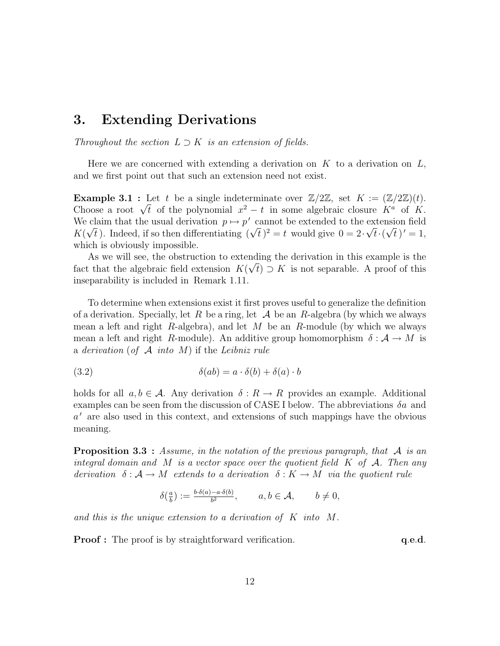## 3. Extending Derivations

Throughout the section  $L \supset K$  is an extension of fields.

Here we are concerned with extending a derivation on  $K$  to a derivation on  $L$ , and we first point out that such an extension need not exist.

**Example 3.1** : Let t be a single indeterminate over  $\mathbb{Z}/2\mathbb{Z}$ , set  $K := (\mathbb{Z}/2\mathbb{Z})(t)$ . **Example 3.1** : Let t be a single indeterminate over  $\mathbb{Z}/2\mathbb{Z}$ , set  $K := (\mathbb{Z}/2\mathbb{Z})(t)$ .<br>Choose a root  $\sqrt{t}$  of the polynomial  $x^2 - t$  in some algebraic closure  $K^a$  of K. We claim that the usual derivation  $p \mapsto p'$  cannot be extended to the extension field We claim that the usual derivation  $p \mapsto p^r$  cannot be extended to the extension field  $K(\sqrt{t})$ . Indeed, if so then differentiating  $(\sqrt{t})^2 = t$  would give  $0 = 2 \cdot \sqrt{t} \cdot (\sqrt{t})' = 1$ , which is obviously impossible.

As we will see, the obstruction to extending the derivation in this example is the fact that the algebraic field extension  $K(\sqrt{t}) \supset K$  is not separable. A proof of this inseparability is included in Remark 1.11.

To determine when extensions exist it first proves useful to generalize the definition of a derivation. Specially, let R be a ring, let  $\mathcal A$  be an R-algebra (by which we always mean a left and right R-algebra), and let  $M$  be an R-module (by which we always mean a left and right R-module). An additive group homomorphism  $\delta : \mathcal{A} \to M$  is a derivation (of  $A$  into  $M$ ) if the Leibniz rule

(3.2) 
$$
\delta(ab) = a \cdot \delta(b) + \delta(a) \cdot b
$$

holds for all  $a, b \in \mathcal{A}$ . Any derivation  $\delta : R \to R$  provides an example. Additional examples can be seen from the discussion of CASE I below. The abbreviations  $\delta a$  and a' are also used in this context, and extensions of such mappings have the obvious meaning.

**Proposition 3.3** : Assume, in the notation of the previous paragraph, that A is an integral domain and M is a vector space over the quotient field  $K$  of  $\mathcal{A}$ . Then any derivation  $\delta : \mathcal{A} \to M$  extends to a derivation  $\delta : K \to M$  via the quotient rule

$$
\delta(\tfrac{a}{b}) := \tfrac{b \cdot \delta(a) - a \cdot \delta(b)}{b^2}, \qquad a, b \in \mathcal{A}, \qquad b \neq 0,
$$

and this is the unique extension to a derivation of K into M.

**Proof :** The proof is by straightforward verification.  $q.e.d.$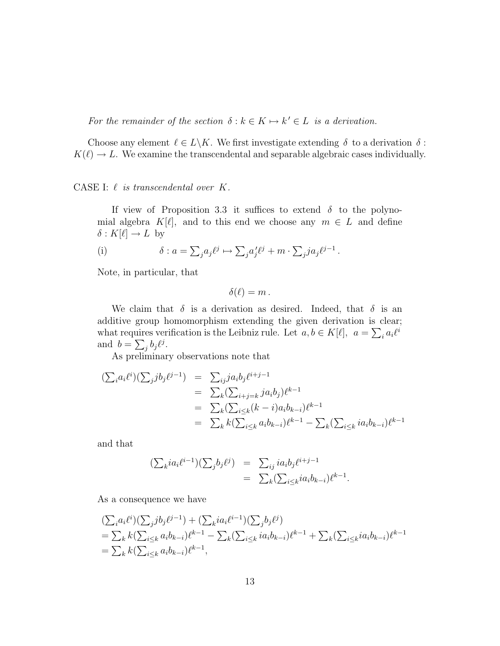For the remainder of the section  $\delta : k \in K \mapsto k' \in L$  is a derivation.

Choose any element  $\ell \in L\backslash K$ . We first investigate extending  $\delta$  to a derivation  $\delta$ :  $K(\ell) \to L$ . We examine the transcendental and separable algebraic cases individually.

CASE I:  $\ell$  is transcendental over  $K$ .

If view of Proposition 3.3 it suffices to extend  $\delta$  to the polynomial algebra  $K[\ell]$ , and to this end we choose any  $m \in L$  and define  $\delta : K[\ell] \to L$  by

(i) 
$$
\delta: a = \sum_j a_j \ell^j \mapsto \sum_j a'_j \ell^j + m \cdot \sum_j j a_j \ell^{j-1}.
$$

Note, in particular, that

$$
\delta(\ell)=m.
$$

We claim that  $\delta$  is a derivation as desired. Indeed, that  $\delta$  is an additive group homomorphism extending the given derivation is clear; what requires verification is the Leibniz rule. Let  $a, b \in K[\ell], \ a = \sum_i a_i \ell^i$ and  $b = \sum_j b_j \ell^j$ .

As preliminary observations note that

$$
\begin{array}{rcl} (\sum_i a_i \ell^i)(\sum_j j b_j \ell^{j-1}) & = & \sum_{ij} j a_i b_j \ell^{i+j-1} \\ & = & \sum_k (\sum_{i+j=k} j a_i b_j) \ell^{k-1} \\ & = & \sum_k (\sum_{i \le k} (k-i) a_i b_{k-i}) \ell^{k-1} \\ & = & \sum_k k (\sum_{i \le k} a_i b_{k-i}) \ell^{k-1} - \sum_k (\sum_{i \le k} i a_i b_{k-i}) \ell^{k-1} \end{array}
$$

and that

$$
\begin{aligned} (\sum_{k} i a_i \ell^{i-1}) (\sum_{j} b_j \ell^j) &= \sum_{ij} i a_i b_j \ell^{i+j-1} \\ &= \sum_{k} (\sum_{i \le k} i a_i b_{k-i}) \ell^{k-1} . \end{aligned}
$$

As a consequence we have

$$
\begin{split} & (\sum_i a_i \ell^i)(\sum_j j b_j \ell^{j-1}) + (\sum_k i a_i \ell^{i-1})(\sum_j b_j \ell^j) \\ & = \sum_k k (\sum_{i \le k} a_i b_{k-i}) \ell^{k-1} - \sum_k (\sum_{i \le k} i a_i b_{k-i}) \ell^{k-1} + \sum_k (\sum_{i \le k} i a_i b_{k-i}) \ell^{k-1} \\ & = \sum_k k (\sum_{i \le k} a_i b_{k-i}) \ell^{k-1}, \end{split}
$$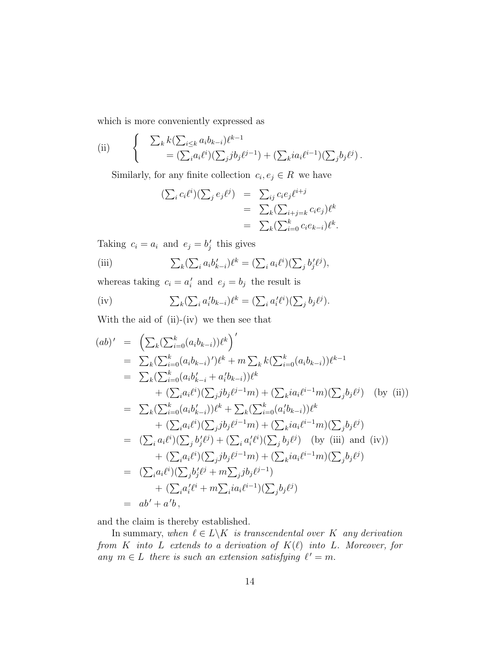which is more conveniently expressed as

(ii) 
$$
\begin{cases} \sum_{k} k(\sum_{i \leq k} a_i b_{k-i}) \ell^{k-1} \\ = (\sum_{i} a_i \ell^i)(\sum_{j} b_j \ell^{j-1}) + (\sum_{k} i a_i \ell^{i-1})(\sum_{j} b_j \ell^{j}). \end{cases}
$$

Similarly, for any finite collection  $c_i, e_j \in R$  we have

$$
\begin{aligned} (\sum_i c_i \ell^i)(\sum_j e_j \ell^j) &= \sum_{ij} c_i e_j \ell^{i+j} \\ &= \sum_k (\sum_{i+j=k} c_i e_j) \ell^k \\ &= \sum_k (\sum_{i=0}^k c_i e_{k-i}) \ell^k. \end{aligned}
$$

Taking  $c_i = a_i$  and  $e_j = b'_j$  this gives

(iii) 
$$
\sum_{k} (\sum_{i} a_{i} b'_{k-i}) \ell^{k} = (\sum_{i} a_{i} \ell^{i}) (\sum_{j} b'_{j} \ell^{j}),
$$

whereas taking  $c_i = a'_i$  and  $e_j = b_j$  the result is

(iv) 
$$
\sum_{k} (\sum_{i} a'_{i} b_{k-i}) \ell^{k} = (\sum_{i} a'_{i} \ell^{i}) (\sum_{j} b_{j} \ell^{j}).
$$

With the aid of (ii)-(iv) we then see that

$$
(ab)' = \left(\sum_{k} (\sum_{i=0}^{k} (a_{i}b_{k-i}))\ell^{k}\right)'
$$
  
\n
$$
= \sum_{k} (\sum_{i=0}^{k} (a_{i}b_{k-i})')\ell^{k} + m \sum_{k} k (\sum_{i=0}^{k} (a_{i}b_{k-i}))\ell^{k-1}
$$
  
\n
$$
= \sum_{k} (\sum_{i=0}^{k} (a_{i}b'_{k-i} + a'_{i}b_{k-i}))\ell^{k}
$$
  
\n
$$
+ (\sum_{i} a_{i}\ell^{i})(\sum_{j}jb_{j}\ell^{j-1}m) + (\sum_{k} ia_{i}\ell^{i-1}m)(\sum_{j} b_{j}\ell^{j}) \quad \text{(by (ii))}
$$
  
\n
$$
= \sum_{k} (\sum_{i=0}^{k} (a_{i}b'_{k-i}))\ell^{k} + \sum_{k} (\sum_{i=0}^{k} (a'_{i}b_{k-i}))\ell^{k}
$$
  
\n
$$
+ (\sum_{i} a_{i}\ell^{i})(\sum_{j} jb_{j}\ell^{j-1}m) + (\sum_{k} ia_{i}\ell^{i-1}m)(\sum_{j} b_{j}\ell^{j})
$$
  
\n
$$
= (\sum_{i} a_{i}\ell^{i})(\sum_{j} b_{j}\ell^{j}) + (\sum_{i} a'_{i}\ell^{i})(\sum_{j} b_{j}\ell^{j}) \quad \text{(by (iii) and (iv))}
$$
  
\n
$$
+ (\sum_{i} a_{i}\ell^{i})(\sum_{j} b_{j}\ell^{j-1}m) + (\sum_{k} ia_{i}\ell^{i-1}m)(\sum_{j} b_{j}\ell^{j})
$$
  
\n
$$
= (\sum_{i} a_{i}\ell^{i})(\sum_{j} b'_{j}\ell^{j} + m \sum_{j} jb_{j}\ell^{j-1})
$$
  
\n
$$
+ (\sum_{i} a'_{i}\ell^{i} + m \sum_{i} ia_{i}\ell^{i-1})(\sum_{j} b_{j}\ell^{j})
$$
  
\n
$$
= ab' + a'b,
$$

and the claim is thereby established.

In summary, when  $\ell \in L\backslash K$  is transcendental over K any derivation from K into L extends to a derivation of  $K(\ell)$  into L. Moreover, for any  $m \in L$  there is such an extension satisfying  $\ell' = m$ .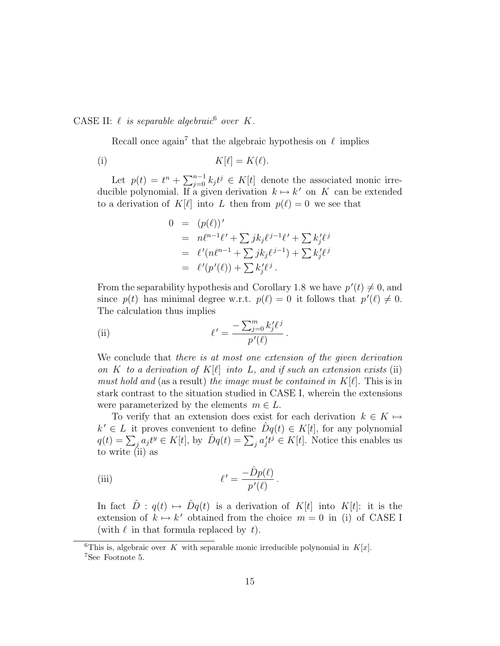CASE II:  $\ell$  is separable algebraic<sup>6</sup> over K.

Recall once again<sup>7</sup> that the algebraic hypothesis on  $\ell$  implies

$$
K[\ell] = K(\ell).
$$

Let  $p(t) = t^n + \sum_{i=0}^{n-1}$  $j=0 \ k_j t^j \in K[t]$  denote the associated monic irreducible polynomial. If a given derivation  $k \mapsto k'$  on K can be extended to a derivation of  $K[\ell]$  into L then from  $p(\ell) = 0$  we see that

$$
0 = (p(\ell))'
$$
  
=  $n\ell^{n-1}\ell' + \sum jk_j\ell^{j-1}\ell' + \sum k'_j\ell^j$   
=  $\ell'(n\ell^{n-1} + \sum jk_j\ell^{j-1}) + \sum k'_j\ell^j$   
=  $\ell'(p'(\ell)) + \sum k'_j\ell^j$ .

From the separability hypothesis and Corollary 1.8 we have  $p'(t) \neq 0$ , and since  $p(t)$  has minimal degree w.r.t.  $p(\ell) = 0$  it follows that  $p'(\ell) \neq 0$ . The calculation thus implies

.

(ii) 
$$
\ell' = \frac{-\sum_{j=0}^{m} k'_j \ell^j}{p'(\ell)}
$$

We conclude that there is at most one extension of the given derivation on K to a derivation of  $K[\ell]$  into L, and if such an extension exists (ii) must hold and (as a result) the image must be contained in  $K[\ell]$ . This is in stark contrast to the situation studied in CASE I, wherein the extensions were parameterized by the elements  $m \in L$ .

To verify that an extension does exist for each derivation  $k \in K \mapsto$  $k' \in L$  it proves convenient to define  $\hat{D}q(t) \in K[t]$ , for any polynomial  $g(t) = \sum_j a_j t^y \in K[t]$ , by  $\hat{D}q(t) = \sum_j a'_j t^j \in K[t]$ . Notice this enables us to write (ii) as

(iii) 
$$
\ell' = \frac{-\hat{D}p(\ell)}{p'(\ell)}.
$$

In fact  $\hat{D}$ :  $q(t) \mapsto \hat{D}q(t)$  is a derivation of K[t] into K[t]: it is the extension of  $k \mapsto k'$  obtained from the choice  $m = 0$  in (i) of CASE I (with  $\ell$  in that formula replaced by t).

<sup>&</sup>lt;sup>6</sup>This is, algebraic over K with separable monic irreducible polynomial in  $K[x]$ . <sup>7</sup>See Footnote 5.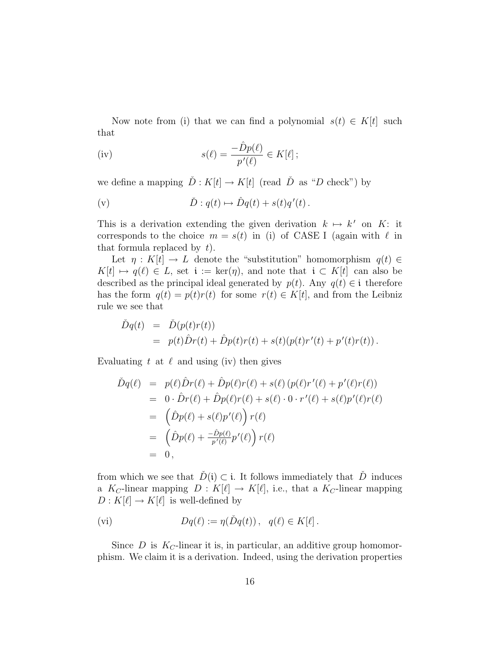Now note from (i) that we can find a polynomial  $s(t) \in K[t]$  such that

(iv) 
$$
s(\ell) = \frac{-\hat{D}p(\ell)}{p'(\ell)} \in K[\ell];
$$

we define a mapping  $\check{D}: K[t] \to K[t]$  (read  $\check{D}$  as "D check") by

$$
\check{D}: q(t) \mapsto \hat{D}q(t) + s(t)q'(t).
$$

This is a derivation extending the given derivation  $k \mapsto k'$  on K: it corresponds to the choice  $m = s(t)$  in (i) of CASE I (again with  $\ell$  in that formula replaced by  $t$ .

Let  $\eta: K[t] \to L$  denote the "substitution" homomorphism  $q(t) \in$  $K[t] \mapsto q(\ell) \in L$ , set  $\mathfrak{i} := \ker(\eta)$ , and note that  $\mathfrak{i} \subset K[t]$  can also be described as the principal ideal generated by  $p(t)$ . Any  $q(t) \in \mathfrak{i}$  therefore has the form  $q(t) = p(t)r(t)$  for some  $r(t) \in K[t]$ , and from the Leibniz rule we see that

$$
\tilde{D}q(t) = \tilde{D}(p(t)r(t))
$$
  
=  $p(t)\hat{D}r(t) + \hat{D}p(t)r(t) + s(t)(p(t)r'(t) + p'(t)r(t)).$ 

Evaluating t at  $\ell$  and using (iv) then gives

$$
\tilde{D}q(\ell) = p(\ell)\hat{D}r(\ell) + \hat{D}p(\ell)r(\ell) + s(\ell) (p(\ell)r'(\ell) + p'(\ell)r(\ell)) \n= 0 \cdot \hat{D}r(\ell) + \hat{D}p(\ell)r(\ell) + s(\ell) \cdot 0 \cdot r'(\ell) + s(\ell)p'(\ell)r(\ell) \n= (\hat{D}p(\ell) + s(\ell)p'(\ell)) r(\ell) \n= (\hat{D}p(\ell) + \frac{-\hat{D}p(\ell)}{p'(\ell)}p'(\ell)) r(\ell) \n= 0,
$$

from which we see that  $\check{D}(\mathfrak{i}) \subset \mathfrak{i}$ . It follows immediately that  $\check{D}$  induces a  $K_C$ -linear mapping  $D : K[\ell] \to K[\ell],$  i.e., that a  $K_C$ -linear mapping  $D: K[\ell] \to K[\ell]$  is well-defined by

$$
(vi) \t Dq(\ell) := \eta(\check{D}q(t)), \quad q(\ell) \in K[\ell].
$$

Since  $D$  is  $K_C$ -linear it is, in particular, an additive group homomorphism. We claim it is a derivation. Indeed, using the derivation properties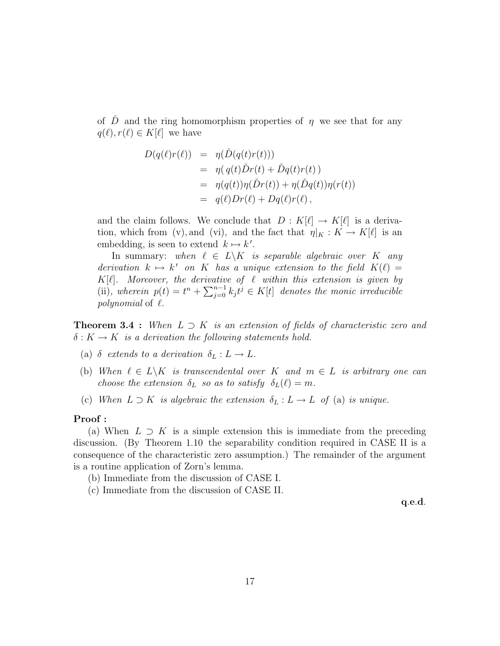of  $\ddot{D}$  and the ring homomorphism properties of  $\eta$  we see that for any  $q(\ell), r(\ell) \in K[\ell]$  we have

$$
D(q(\ell)r(\ell)) = \eta(\check{D}(q(t)r(t)))
$$
  
=  $\eta(q(t)\check{D}r(t) + \check{D}q(t)r(t))$   
=  $\eta(q(t))\eta(\check{D}r(t)) + \eta(\check{D}q(t))\eta(r(t))$   
=  $q(\ell)Dr(\ell) + Dq(\ell)r(\ell)$ ,

and the claim follows. We conclude that  $D : K[\ell] \to K[\ell]$  is a derivation, which from (v), and (vi), and the fact that  $\eta|_K : K \to K[\ell]$  is an embedding, is seen to extend  $k \mapsto k'$ .

In summary: when  $\ell \in L\backslash K$  is separable algebraic over K any derivation  $k \mapsto k'$  on K has a unique extension to the field  $K(\ell) =$  $K[\ell]$ . Moreover, the derivative of  $\ell$  within this extension is given by  $\Lambda$ [e]. Moreover, the derivative<br>(ii), wherein  $p(t) = t^n + \sum_{i=0}^{n-1}$  $j=0 \atop j=0}^{n-1} k_j t^j \in K[t]$  denotes the monic irreducible *polynomial* of  $\ell$ .

**Theorem 3.4 :** When  $L \supset K$  is an extension of fields of characteristic zero and  $\delta: K \to K$  is a derivation the following statements hold.

- (a)  $\delta$  extends to a derivation  $\delta_L : L \to L$ .
- (b) When  $\ell \in L\backslash K$  is transcendental over K and  $m \in L$  is arbitrary one can choose the extension  $\delta_L$  so as to satisfy  $\delta_L(\ell) = m$ .
- (c) When  $L \supset K$  is algebraic the extension  $\delta_L : L \to L$  of (a) is unique.

#### Proof :

(a) When  $L \supset K$  is a simple extension this is immediate from the preceding discussion. (By Theorem 1.10 the separability condition required in CASE II is a consequence of the characteristic zero assumption.) The remainder of the argument is a routine application of Zorn's lemma.

(b) Immediate from the discussion of CASE I.

(c) Immediate from the discussion of CASE II.

q.e.d.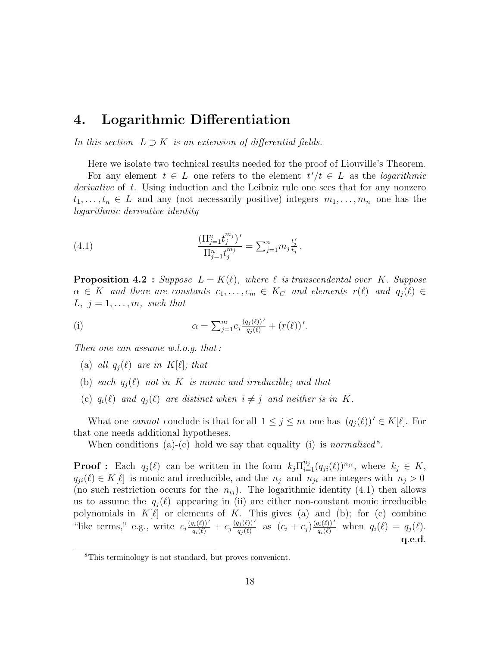## 4. Logarithmic Differentiation

In this section  $L \supset K$  is an extension of differential fields.

Here we isolate two technical results needed for the proof of Liouville's Theorem.

For any element  $t \in L$  one refers to the element  $t'/t \in L$  as the *logarithmic* derivative of t. Using induction and the Leibniz rule one sees that for any nonzero  $t_1, \ldots, t_n \in L$  and any (not necessarily positive) integers  $m_1, \ldots, m_n$  one has the logarithmic derivative identity

(4.1) 
$$
\frac{(\Pi_{j=1}^n t_j^{m_j})'}{\Pi_{j=1}^n t_j^{m_j}} = \sum_{j=1}^n m_j \frac{t_j'}{t_j}
$$

**Proposition 4.2** : Suppose  $L = K(\ell)$ , where  $\ell$  is transcendental over K. Suppose  $\alpha \in K$  and there are constants  $c_1, \ldots, c_m \in K_C$  and elements  $r(\ell)$  and  $q_i(\ell) \in$  $L, j = 1, \ldots, m, \text{ such that}$ 

.

(i) 
$$
\alpha = \sum_{j=1}^{m} c_j \frac{(q_j(\ell))'}{q_j(\ell)} + (r(\ell))'.
$$

Then one can assume w.l.o.g. that :

- (a) all  $q_i(\ell)$  are in  $K[\ell]$ ; that
- (b) each  $q_i(\ell)$  not in K is monic and irreducible; and that
- (c)  $q_i(\ell)$  and  $q_j(\ell)$  are distinct when  $i \neq j$  and neither is in K.

What one cannot conclude is that for all  $1 \leq j \leq m$  one has  $(q_i(\ell))' \in K[\ell]$ . For that one needs additional hypotheses.

When conditions (a)-(c) hold we say that equality (i) is *normalized*<sup>8</sup>.

**Proof**: Each  $q_j(\ell)$  can be written in the form  $k_j \prod_{i=1}^{n_j} (q_{ji}(\ell))^{n_{ji}}$ , where  $k_j \in K$ ,  $q_{ji}(\ell) \in K[\ell]$  is monic and irreducible, and the  $n_j$  and  $n_{ji}$  are integers with  $n_j > 0$ (no such restriction occurs for the  $n_{ij}$ ). The logarithmic identity (4.1) then allows us to assume the  $q_i(\ell)$  appearing in (ii) are either non-constant monic irreducible polynomials in  $K[\ell]$  or elements of K. This gives (a) and (b); for (c) combine "like terms," e.g., write  $c_i \frac{(q_i(\ell))'}{q_i(\ell)} + c_j \frac{(q_j(\ell))'}{q_j(\ell)}$  $\frac{q_j(\ell))'}{q_j(\ell)}$  as  $(c_i + c_j) \frac{(q_i(\ell))'}{q_i(\ell)}$  when  $q_i(\ell) = q_j(\ell)$ . q.e.d.

<sup>8</sup>This terminology is not standard, but proves convenient.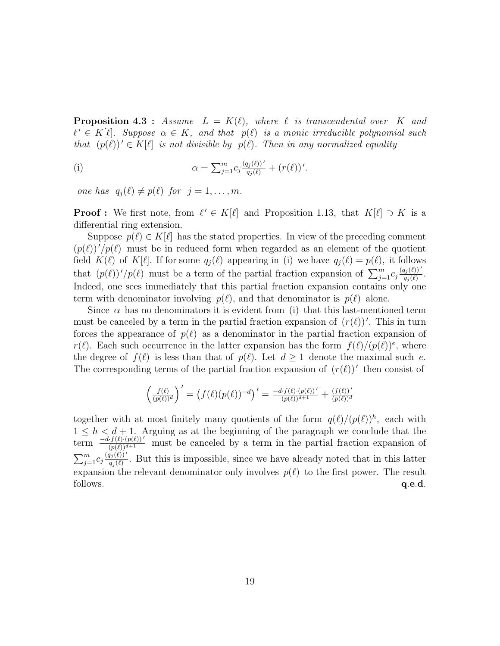**Proposition 4.3** : Assume  $L = K(\ell)$ , where  $\ell$  is transcendental over K and  $\ell' \in K[\ell]$ . Suppose  $\alpha \in K$ , and that  $p(\ell)$  is a monic irreducible polynomial such that  $(p(\ell))' \in K[\ell]$  is not divisible by  $p(\ell)$ . Then in any normalized equality

(i) 
$$
\alpha = \sum_{j=1}^{m} c_j \frac{(q_j(\ell))'}{q_j(\ell)} + (r(\ell))'.
$$

one has  $q_j(\ell) \neq p(\ell)$  for  $j = 1, ..., m$ .

**Proof :** We first note, from  $\ell' \in K[\ell]$  and Proposition 1.13, that  $K[\ell] \supset K$  is a differential ring extension.

Suppose  $p(\ell) \in K[\ell]$  has the stated properties. In view of the preceding comment  $(p(\ell))'/p(\ell)$  must be in reduced form when regarded as an element of the quotient field  $K(\ell)$  of  $K[\ell]$ . If for some  $q_i(\ell)$  appearing in (i) we have  $q_i(\ell) = p(\ell)$ , it follows that  $(p(\ell))'/p(\ell)$  must be a term of the partial fraction expansion of  $\sum_{j=1}^{m} c_j \frac{(q_j(\ell))'}{q_i(\ell)}$  $\frac{q_j(\ell)\Gamma}{q_j(\ell)}$ . Indeed, one sees immediately that this partial fraction expansion contains only one term with denominator involving  $p(\ell)$ , and that denominator is  $p(\ell)$  alone.

Since  $\alpha$  has no denominators it is evident from (i) that this last-mentioned term must be canceled by a term in the partial fraction expansion of  $(r(\ell))'$ . This in turn forces the appearance of  $p(\ell)$  as a denominator in the partial fraction expansion of  $r(\ell)$ . Each such occurrence in the latter expansion has the form  $f(\ell)/\left(p(\ell)\right)^e$ , where the degree of  $f(\ell)$  is less than that of  $p(\ell)$ . Let  $d \geq 1$  denote the maximal such e. The corresponding terms of the partial fraction expansion of  $(r(\ell))'$  then consist of

$$
\left(\frac{f(\ell)}{(p(\ell))^d}\right)' = \left(f(\ell)(p(\ell))^{-d}\right)' = \frac{-d \cdot f(\ell) \cdot (p(\ell))'}{(p(\ell))^{d+1}} + \frac{(f(\ell))'}{(p(\ell))^d}
$$

together with at most finitely many quotients of the form  $q(\ell)/(p(\ell))^h$ , each with  $1 \leq h < d+1$ . Arguing as at the beginning of the paragraph we conclude that the term  $-\frac{d f(\ell)\cdot (p(\ell))'}{(p(\ell))^{d+1}}$  must be canceled by a term in the partial fraction expansion of  $\sum_m$  $\sum_{j=1}^{m} C_j \frac{(\tilde{q_j}(\ell))'}{q_i(\ell)}$  $\frac{q_j(\ell)}{q_j(\ell)}$ . But this is impossible, since we have already noted that in this latter expansion the relevant denominator only involves  $p(\ell)$  to the first power. The result  $q.e.d.$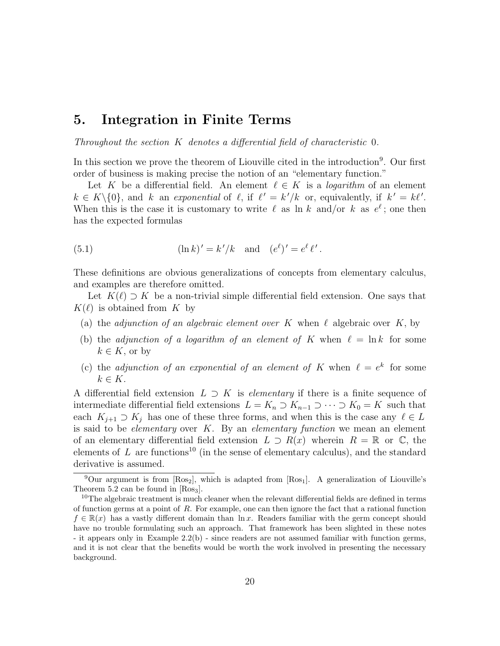## 5. Integration in Finite Terms

Throughout the section K denotes a differential field of characteristic 0.

In this section we prove the theorem of Liouville cited in the introduction<sup>9</sup>. Our first order of business is making precise the notion of an "elementary function."

Let K be a differential field. An element  $\ell \in K$  is a *logarithm* of an element  $k \in K \setminus \{0\}$ , and k an exponential of  $\ell$ , if  $\ell' = k'/k$  or, equivalently, if  $k' = k\ell'$ . When this is the case it is customary to write  $\ell$  as ln k and/or k as  $e^{\ell}$ ; one then has the expected formulas

(5.1) 
$$
(\ln k)' = k'/k
$$
 and  $(e^{\ell})' = e^{\ell} \ell'$ .

These definitions are obvious generalizations of concepts from elementary calculus, and examples are therefore omitted.

Let  $K(\ell) \supset K$  be a non-trivial simple differential field extension. One says that  $K(\ell)$  is obtained from K by

- (a) the *adjunction of an algebraic element over* K when  $\ell$  algebraic over K, by
- (b) the adjunction of a logarithm of an element of K when  $\ell = \ln k$  for some  $k \in K$ , or by
- (c) the adjunction of an exponential of an element of K when  $\ell = e^k$  for some  $k \in K$ .

A differential field extension  $L \supset K$  is *elementary* if there is a finite sequence of intermediate differential field extensions  $L = K_n \supset K_{n-1} \supset \cdots \supset K_0 = K$  such that each  $K_{i+1} \supset K_i$  has one of these three forms, and when this is the case any  $\ell \in L$ is said to be *elementary* over  $K$ . By an *elementary function* we mean an element of an elementary differential field extension  $L \supset R(x)$  wherein  $R = \mathbb{R}$  or  $\mathbb{C}$ , the elements of  $L$  are functions<sup>10</sup> (in the sense of elementary calculus), and the standard derivative is assumed.

<sup>&</sup>lt;sup>9</sup>Our argument is from  $[Ros_2]$ , which is adapted from  $[Ros_1]$ . A generalization of Liouville's Theorem 5.2 can be found in  $[Ros<sub>3</sub>]$ .

 $10$ The algebraic treatment is much cleaner when the relevant differential fields are defined in terms of function germs at a point of  $R$ . For example, one can then ignore the fact that a rational function  $f \in \mathbb{R}(x)$  has a vastly different domain than  $\ln x$ . Readers familiar with the germ concept should have no trouble formulating such an approach. That framework has been slighted in these notes - it appears only in Example 2.2(b) - since readers are not assumed familiar with function germs, and it is not clear that the benefits would be worth the work involved in presenting the necessary background.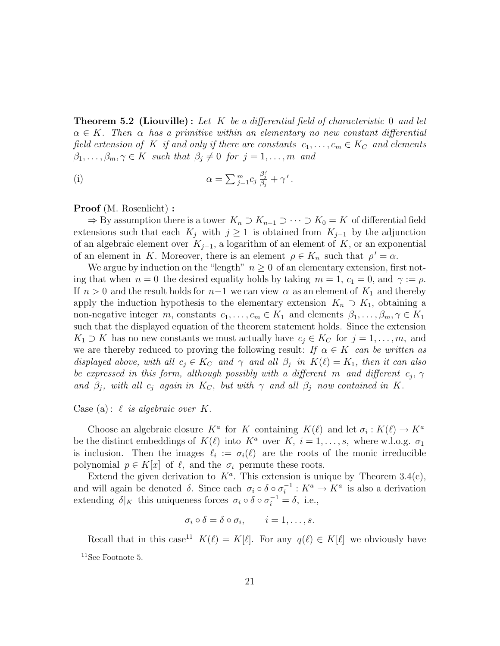**Theorem 5.2 (Liouville):** Let K be a differential field of characteristic 0 and let  $\alpha \in K$ . Then  $\alpha$  has a primitive within an elementary no new constant differential field extension of K if and only if there are constants  $c_1, \ldots, c_m \in K_C$  and elements  $\beta_1, \ldots, \beta_m, \gamma \in K$  such that  $\beta_j \neq 0$  for  $j = 1, \ldots, m$  and

(i) 
$$
\alpha = \sum_{j=1}^m c_j \frac{\beta'_j}{\beta_j} + \gamma'.
$$

#### Proof (M. Rosenlicht) :

 $\Rightarrow$  By assumption there is a tower  $K_n \supset K_{n-1} \supset \cdots \supset K_0 = K$  of differential field extensions such that each  $K_j$  with  $j \geq 1$  is obtained from  $K_{j-1}$  by the adjunction of an algebraic element over  $K_{i-1}$ , a logarithm of an element of K, or an exponential of an element in K. Moreover, there is an element  $\rho \in K_n$  such that  $\rho' = \alpha$ .

We argue by induction on the "length"  $n \geq 0$  of an elementary extension, first noting that when  $n = 0$  the desired equality holds by taking  $m = 1, c_1 = 0$ , and  $\gamma := \rho$ . If  $n > 0$  and the result holds for  $n-1$  we can view  $\alpha$  as an element of  $K_1$  and thereby apply the induction hypothesis to the elementary extension  $K_n \supset K_1$ , obtaining a non-negative integer m, constants  $c_1, \ldots, c_m \in K_1$  and elements  $\beta_1, \ldots, \beta_m, \gamma \in K_1$ such that the displayed equation of the theorem statement holds. Since the extension  $K_1 \supset K$  has no new constants we must actually have  $c_i \in K_C$  for  $j = 1, \ldots, m$ , and we are thereby reduced to proving the following result: If  $\alpha \in K$  can be written as displayed above, with all  $c_j \in K_C$  and  $\gamma$  and all  $\beta_j$  in  $K(\ell) = K_1$ , then it can also be expressed in this form, although possibly with a different m and different  $c_j$ ,  $\gamma$ and  $\beta_i$ , with all  $c_i$  again in  $K_C$ , but with  $\gamma$  and all  $\beta_i$  now contained in K.

Case (a):  $\ell$  is algebraic over K.

Choose an algebraic closure  $K^a$  for K containing  $K(\ell)$  and let  $\sigma_i: K(\ell) \to K^a$ be the distinct embeddings of  $K(\ell)$  into  $K^a$  over K,  $i = 1, \ldots, s$ , where w.l.o.g.  $\sigma_1$ is inclusion. Then the images  $\ell_i := \sigma_i(\ell)$  are the roots of the monic irreducible polynomial  $p \in K[x]$  of  $\ell$ , and the  $\sigma_i$  permute these roots.

Extend the given derivation to  $K^a$ . This extension is unique by Theorem 3.4(c), and will again be denoted  $\delta$ . Since each  $\sigma_i \circ \delta \circ \sigma_i^{-1}$  $i_i^{-1}: K^a \to K^a$  is also a derivation extending  $\delta|_K$  this uniqueness forces  $\sigma_i \circ \delta \circ \sigma_i^{-1} = \delta$ , i.e.,

$$
\sigma_i \circ \delta = \delta \circ \sigma_i, \qquad i = 1, \dots, s.
$$

Recall that in this case<sup>11</sup>  $K(\ell) = K[\ell]$ . For any  $q(\ell) \in K[\ell]$  we obviously have

<sup>11</sup>See Footnote 5.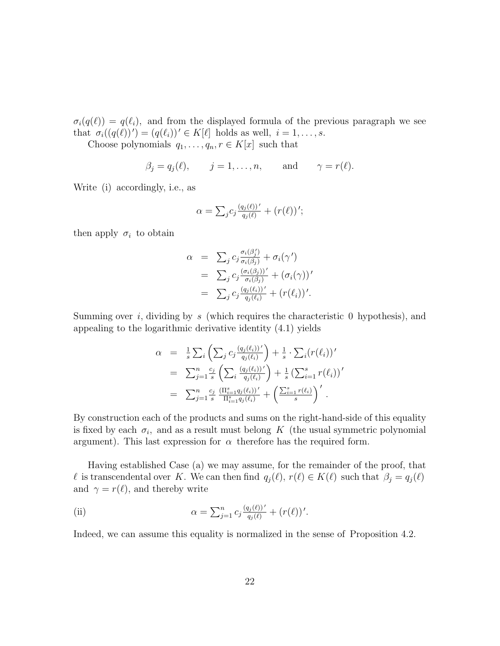$\sigma_i(q(\ell)) = q(\ell_i)$ , and from the displayed formula of the previous paragraph we see that  $\sigma_i((q(\ell))') = (q(\ell_i))' \in K[\ell]$  holds as well,  $i = 1, \ldots, s$ .

Choose polynomials  $q_1, \ldots, q_n, r \in K[x]$  such that

$$
\beta_j = q_j(\ell),
$$
  $j = 1, ..., n,$  and  $\gamma = r(\ell).$ 

Write (i) accordingly, i.e., as

$$
\alpha = \sum_{j} c_j \frac{(q_j(\ell))'}{q_j(\ell)} + (r(\ell))'
$$

then apply  $\sigma_i$  to obtain

$$
\alpha = \sum_j c_j \frac{\sigma_i(\beta_j')}{\sigma_i(\beta_j)} + \sigma_i(\gamma')
$$
  
= 
$$
\sum_j c_j \frac{(\sigma_i(\beta_j))'}{\sigma_i(\beta_j)} + (\sigma_i(\gamma))'
$$
  
= 
$$
\sum_j c_j \frac{(q_j(\ell_i))'}{q_j(\ell_i)} + (r(\ell_i))'.
$$

Summing over i, dividing by s (which requires the characteristic 0 hypothesis), and appealing to the logarithmic derivative identity (4.1) yields

$$
\alpha = \frac{1}{s} \sum_{i} \left( \sum_{j} c_{j} \frac{(q_{j}(\ell_{i}))'}{q_{j}(\ell_{i})} \right) + \frac{1}{s} \cdot \sum_{i} (r(\ell_{i}))'
$$
  
\n
$$
= \sum_{j=1}^{n} \frac{c_{j}}{s} \left( \sum_{i} \frac{(q_{j}(\ell_{i}))'}{q_{j}(\ell_{i})} \right) + \frac{1}{s} \left( \sum_{i=1}^{s} r(\ell_{i}) \right)'
$$
  
\n
$$
= \sum_{j=1}^{n} \frac{c_{j}}{s} \frac{\left( \Pi_{i=1}^{s} q_{j}(\ell_{i}) \right)'}{\Pi_{i=1}^{s} q_{j}(\ell_{i})} + \left( \frac{\sum_{i=1}^{s} r(\ell_{i})}{s} \right)'
$$

By construction each of the products and sums on the right-hand-side of this equality is fixed by each  $\sigma_i$ , and as a result must belong K (the usual symmetric polynomial argument). This last expression for  $\alpha$  therefore has the required form.

Having established Case (a) we may assume, for the remainder of the proof, that  $\ell$  is transcendental over K. We can then find  $q_j(\ell), r(\ell) \in K(\ell)$  such that  $\beta_j = q_j(\ell)$ and  $\gamma = r(\ell)$ , and thereby write

(ii) 
$$
\alpha = \sum_{j=1}^{n} c_j \frac{(q_j(\ell))'}{q_j(\ell)} + (r(\ell))'.
$$

Indeed, we can assume this equality is normalized in the sense of Proposition 4.2.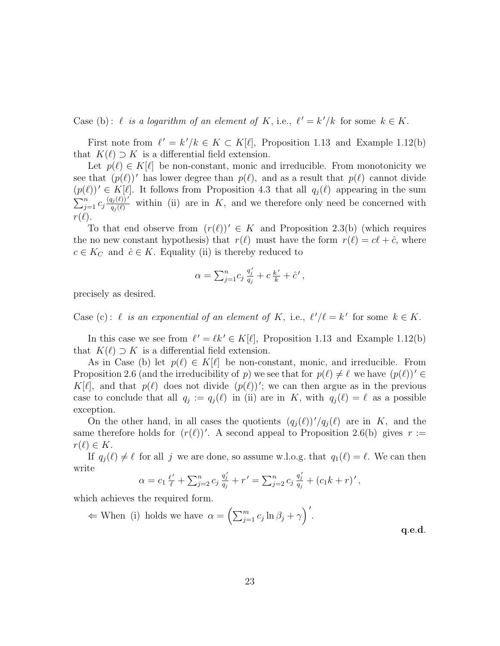Case (b):  $\ell$  is a logarithm of an element of K, i.e.,  $\ell' = k'/k$  for some  $k \in K$ .

First note from  $\ell' = k'/k \in K \subset K[\ell]$ , Proposition 1.13 and Example 1.12(b) that  $K(\ell) \supset K$  is a differential field extension.

Let  $p(\ell) \in K[\ell]$  be non-constant, monic and irreducible. From monotonicity we see that  $(p(\ell))'$  has lower degree than  $p(\ell)$ , and as a result that  $p(\ell)$  cannot divide  $(p(\ell))' \in K[\ell]$ . It follows from Proposition 4.3 that all  $q_i(\ell)$  appearing in the sum  $\frac{\Psi(1)}{\nabla n}$  $j=1 \choose j=1 \choose q_i(\ell)}$  within (ii) are in K, and we therefore only need be concerned with  $r(\ell).$ 

To that end observe from  $(r(\ell))' \in K$  and Proposition 2.3(b) (which requires the no new constant hypothesis) that  $r(\ell)$  must have the form  $r(\ell) = c\ell + \hat{c}$ , where  $c \in K_C$  and  $\hat{c} \in K$ . Equality (ii) is thereby reduced to

$$
\alpha = \sum_{j=1}^{n} c_j \frac{q'_j}{q_j} + c \frac{k'}{k} + \hat{c}',
$$

precisely as desired.

Case (c):  $\ell$  is an exponential of an element of K, i.e.,  $\ell'/\ell = k'$  for some  $k \in K$ .

In this case we see from  $\ell' = \ell k' \in K[\ell]$ , Proposition 1.13 and Example 1.12(b) that  $K(\ell) \supset K$  is a differential field extension.

As in Case (b) let  $p(\ell) \in K[\ell]$  be non-constant, monic, and irreducible. From Proposition 2.6 (and the irreducibility of p) we see that for  $p(\ell) \neq \ell$  we have  $(p(\ell))' \in$  $K[\ell]$ , and that  $p(\ell)$  does not divide  $(p(\ell))'$ ; we can then argue as in the previous case to conclude that all  $q_j := q_j(\ell)$  in (ii) are in K, with  $q_j(\ell) = \ell$  as a possible exception.

On the other hand, in all cases the quotients  $(q_j(\ell))'/q_j(\ell)$  are in K, and the same therefore holds for  $(r(\ell))'$ . A second appeal to Proposition 2.6(b) gives  $r :=$  $r(\ell) \in K$ .

If  $q_i(\ell) \neq \ell$  for all j we are done, so assume w.l.o.g. that  $q_1(\ell) = \ell$ . We can then write

$$
\alpha = c_1 \frac{\ell'}{\ell} + \sum_{j=2}^n c_j \frac{q_j'}{q_j} + r' = \sum_{j=2}^n c_j \frac{q_j'}{q_j} + (c_1 k + r)' ,
$$

which achieves the required form.

$$
\Leftarrow \text{ When (i) holds we have } \alpha = \left(\sum_{j=1}^{m} c_j \ln \beta_j + \gamma\right)'. \tag{4.6.1}
$$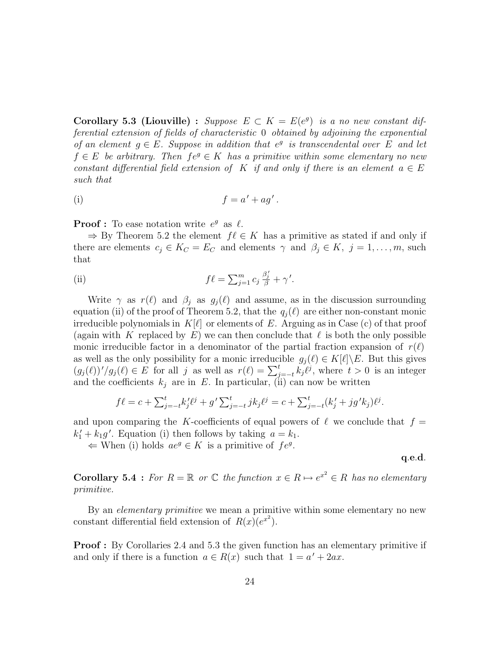Corollary 5.3 (Liouville) : Suppose  $E \subset K = E(e^g)$  is a no new constant differential extension of fields of characteristic 0 obtained by adjoining the exponential of an element  $g \in E$ . Suppose in addition that  $e^g$  is transcendental over E and let  $f \in E$  be arbitrary. Then  $f e^g \in K$  has a primitive within some elementary no new constant differential field extension of K if and only if there is an element  $a \in E$ such that

(i) 
$$
f = a' + ag'.
$$

**Proof**: To ease notation write  $e^g$  as  $\ell$ .

 $\Rightarrow$  By Theorem 5.2 the element  $f \ell \in K$  has a primitive as stated if and only if there are elements  $c_j \in K_C = E_C$  and elements  $\gamma$  and  $\beta_j \in K$ ,  $j = 1, \ldots, m$ , such that

(ii) 
$$
f\ell = \sum_{j=1}^m c_j \frac{\beta'_j}{\beta} + \gamma'.
$$

Write  $\gamma$  as  $r(\ell)$  and  $\beta_j$  as  $g_j(\ell)$  and assume, as in the discussion surrounding equation (ii) of the proof of Theorem 5.2, that the  $q_i(\ell)$  are either non-constant monic irreducible polynomials in  $K[\ell]$  or elements of E. Arguing as in Case (c) of that proof (again with K replaced by E) we can then conclude that  $\ell$  is both the only possible monic irreducible factor in a denominator of the partial fraction expansion of  $r(\ell)$ as well as the only possibility for a monic irreducible  $g_i(\ell) \in K[\ell]\backslash E$ . But this gives as wen as the omy possibility for a monic frieducible  $g_j(\ell) \in K[\ell] \setminus E$ . But this gives  $(g_j(\ell))'/g_j(\ell) \in E$  for all j as well as  $r(\ell) = \sum_{j=-t}^{t} k_j \ell^j$ , where  $t > 0$  is an integer and the coefficients  $k_j$  are in E. In particular, (ii) can now be written

$$
f\ell = c + \sum_{j=-t}^{t} k'_j \ell^j + g' \sum_{j=-t}^{t} j k_j \ell^j = c + \sum_{j=-t}^{t} (k'_j + j g' k_j) \ell^j.
$$

and upon comparing the K-coefficients of equal powers of  $\ell$  we conclude that  $f =$  $k'_1 + k_1 g'$ . Equation (i) then follows by taking  $a = k_1$ .

 $\Leftarrow$  When (i) holds  $ae^g \in K$  is a primitive of  $fe^g$ .

q.e.d.

**Corollary 5.4** : For  $R = \mathbb{R}$  or  $\mathbb{C}$  the function  $x \in R \mapsto e^{x^2} \in R$  has no elementary primitive.

By an *elementary primitive* we mean a primitive within some elementary no new constant differential field extension of  $R(x)(e^{x^2})$ .

**Proof**: By Corollaries 2.4 and 5.3 the given function has an elementary primitive if and only if there is a function  $a \in R(x)$  such that  $1 = a' + 2ax$ .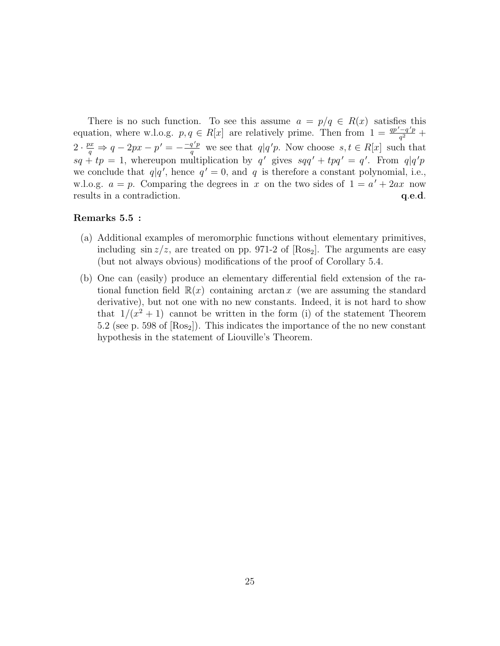There is no such function. To see this assume  $a = p/q \in R(x)$  satisfies this equation, where w.l.o.g.  $p, q \in R[x]$  are relatively prime. Then from  $1 = \frac{qp'-q'p}{q^2}$  $\frac{-q'p}{q^2} +$  $2 \cdot \frac{px}{a}$  $\frac{dx}{q} \Rightarrow q - 2px - p' = -\frac{-q'p}{q}$  $\frac{q'p}{q}$  we see that  $q|q'p$ . Now choose  $s, t \in R[x]$  such that  $sq + tp = 1$ , whereupon multiplication by q' gives  $sqq' + tp' = q'$ . From  $q|q'p$ we conclude that  $q|q'$ , hence  $q' = 0$ , and q is therefore a constant polynomial, i.e., w.l.o.g.  $a = p$ . Comparing the degrees in x on the two sides of  $1 = a' + 2ax$  now results in a contradiction.  $q.e.d.$ 

#### Remarks 5.5 :

- (a) Additional examples of meromorphic functions without elementary primitives, including  $\sin z/z$ , are treated on pp. 971-2 of  $[Ros_2]$ . The arguments are easy (but not always obvious) modifications of the proof of Corollary 5.4.
- (b) One can (easily) produce an elementary differential field extension of the rational function field  $\mathbb{R}(x)$  containing arctan x (we are assuming the standard derivative), but not one with no new constants. Indeed, it is not hard to show that  $1/(x^2+1)$  cannot be written in the form (i) of the statement Theorem 5.2 (see p. 598 of  $[Ros_2]$ ). This indicates the importance of the no new constant hypothesis in the statement of Liouville's Theorem.